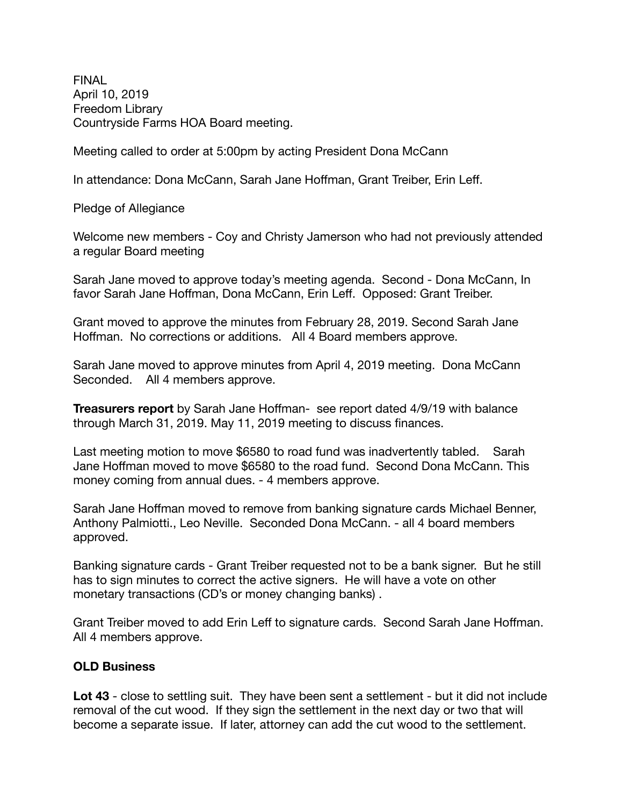FINAL April 10, 2019 Freedom Library Countryside Farms HOA Board meeting.

Meeting called to order at 5:00pm by acting President Dona McCann

In attendance: Dona McCann, Sarah Jane Hoffman, Grant Treiber, Erin Leff.

Pledge of Allegiance

Welcome new members - Coy and Christy Jamerson who had not previously attended a regular Board meeting

Sarah Jane moved to approve today's meeting agenda. Second - Dona McCann, In favor Sarah Jane Hoffman, Dona McCann, Erin Leff. Opposed: Grant Treiber.

Grant moved to approve the minutes from February 28, 2019. Second Sarah Jane Hoffman. No corrections or additions. All 4 Board members approve.

Sarah Jane moved to approve minutes from April 4, 2019 meeting. Dona McCann Seconded. All 4 members approve.

**Treasurers report** by Sarah Jane Hoffman- see report dated 4/9/19 with balance through March 31, 2019. May 11, 2019 meeting to discuss finances.

Last meeting motion to move \$6580 to road fund was inadvertently tabled. Sarah Jane Hoffman moved to move \$6580 to the road fund. Second Dona McCann. This money coming from annual dues. - 4 members approve.

Sarah Jane Hoffman moved to remove from banking signature cards Michael Benner, Anthony Palmiotti., Leo Neville. Seconded Dona McCann. - all 4 board members approved.

Banking signature cards - Grant Treiber requested not to be a bank signer. But he still has to sign minutes to correct the active signers. He will have a vote on other monetary transactions (CD's or money changing banks) .

Grant Treiber moved to add Erin Leff to signature cards. Second Sarah Jane Hoffman. All 4 members approve.

## **OLD Business**

**Lot 43** - close to settling suit. They have been sent a settlement - but it did not include removal of the cut wood. If they sign the settlement in the next day or two that will become a separate issue. If later, attorney can add the cut wood to the settlement.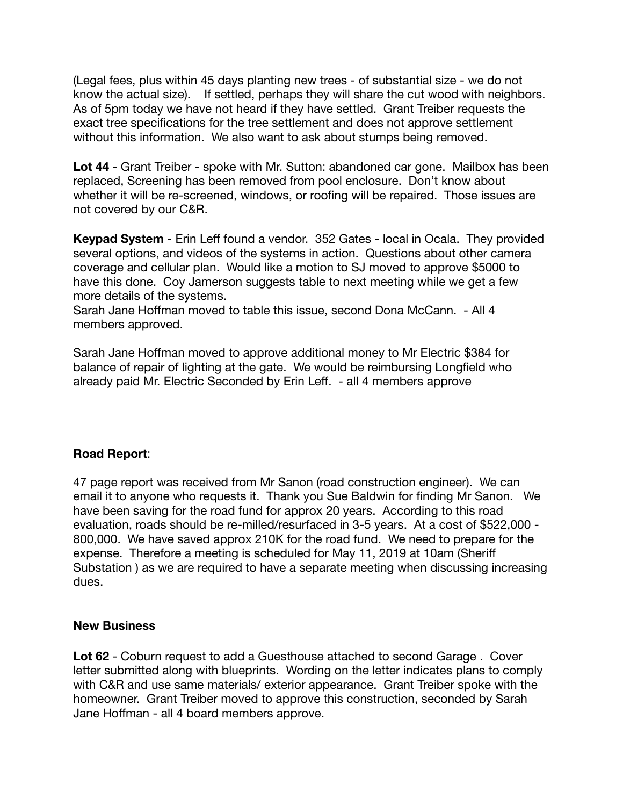(Legal fees, plus within 45 days planting new trees - of substantial size - we do not know the actual size). If settled, perhaps they will share the cut wood with neighbors. As of 5pm today we have not heard if they have settled. Grant Treiber requests the exact tree specifications for the tree settlement and does not approve settlement without this information. We also want to ask about stumps being removed.

**Lot 44** - Grant Treiber - spoke with Mr. Sutton: abandoned car gone. Mailbox has been replaced, Screening has been removed from pool enclosure. Don't know about whether it will be re-screened, windows, or roofing will be repaired. Those issues are not covered by our C&R.

**Keypad System** - Erin Leff found a vendor. 352 Gates - local in Ocala. They provided several options, and videos of the systems in action. Questions about other camera coverage and cellular plan. Would like a motion to SJ moved to approve \$5000 to have this done. Coy Jamerson suggests table to next meeting while we get a few more details of the systems.

Sarah Jane Hoffman moved to table this issue, second Dona McCann. - All 4 members approved.

Sarah Jane Hoffman moved to approve additional money to Mr Electric \$384 for balance of repair of lighting at the gate. We would be reimbursing Longfield who already paid Mr. Electric Seconded by Erin Leff. - all 4 members approve

## **Road Report**:

47 page report was received from Mr Sanon (road construction engineer). We can email it to anyone who requests it. Thank you Sue Baldwin for finding Mr Sanon. We have been saving for the road fund for approx 20 years. According to this road evaluation, roads should be re-milled/resurfaced in 3-5 years. At a cost of \$522,000 - 800,000. We have saved approx 210K for the road fund. We need to prepare for the expense. Therefore a meeting is scheduled for May 11, 2019 at 10am (Sheriff Substation ) as we are required to have a separate meeting when discussing increasing dues.

## **New Business**

**Lot 62** - Coburn request to add a Guesthouse attached to second Garage . Cover letter submitted along with blueprints. Wording on the letter indicates plans to comply with C&R and use same materials/ exterior appearance. Grant Treiber spoke with the homeowner. Grant Treiber moved to approve this construction, seconded by Sarah Jane Hoffman - all 4 board members approve.